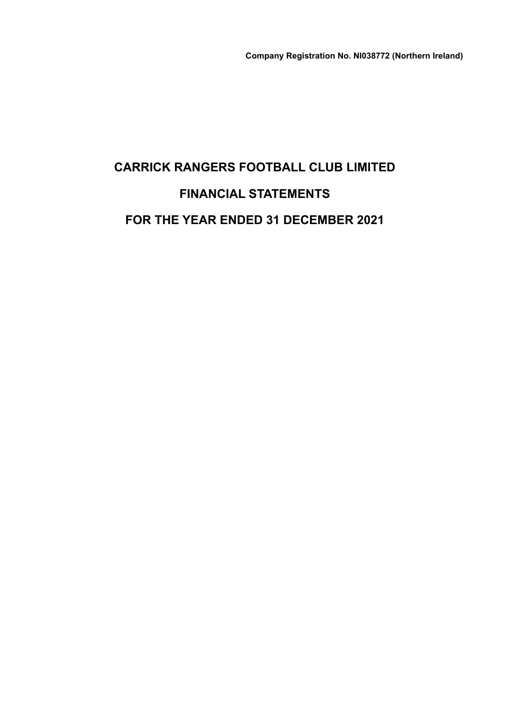# **CARRICK RANGERS FOOTBALL CLUB LIMITED FINANCIAL STATEMENTS FOR THE YEAR ENDED 31 DECEMBER 2021**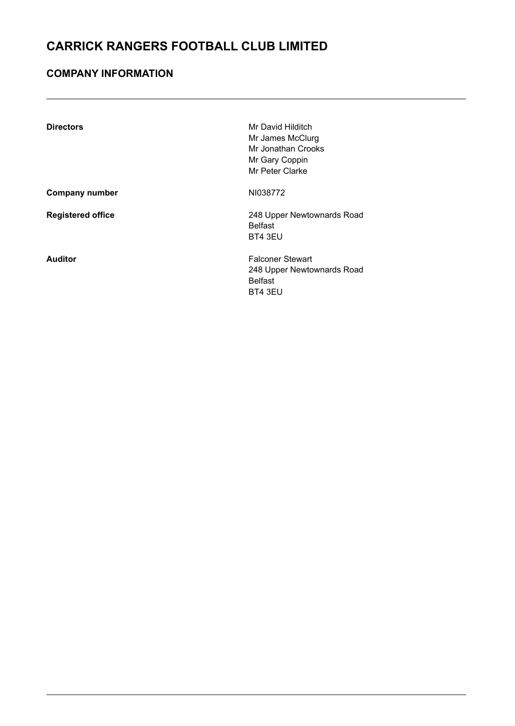### **COMPANY INFORMATION**

| <b>Directors</b>         | Mr David Hilditch<br>Mr James McClurg<br>Mr Jonathan Crooks<br>Mr Gary Coppin<br>Mr Peter Clarke |
|--------------------------|--------------------------------------------------------------------------------------------------|
| Company number           | NI038772                                                                                         |
| <b>Registered office</b> | 248 Upper Newtownards Road<br><b>Belfast</b><br>BT4 3EU                                          |
| <b>Auditor</b>           | <b>Falconer Stewart</b><br>248 Upper Newtownards Road<br><b>Belfast</b><br>BT4 3EU               |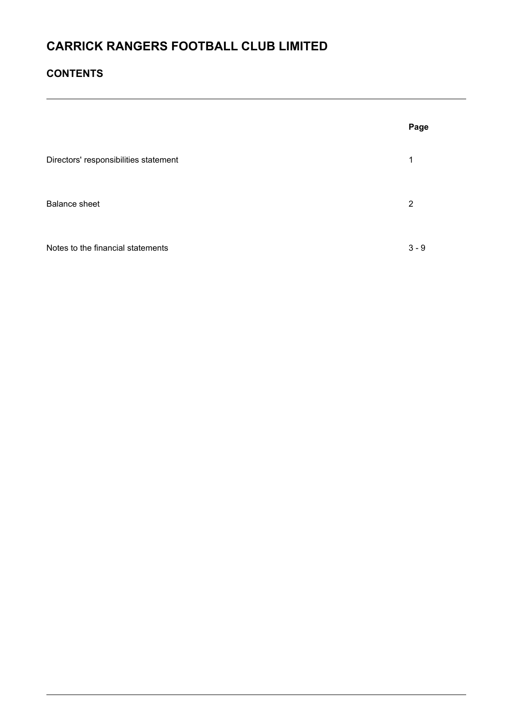### **CONTENTS**

|                                       | Page    |
|---------------------------------------|---------|
| Directors' responsibilities statement | 1       |
| <b>Balance sheet</b>                  | 2       |
| Notes to the financial statements     | $3 - 9$ |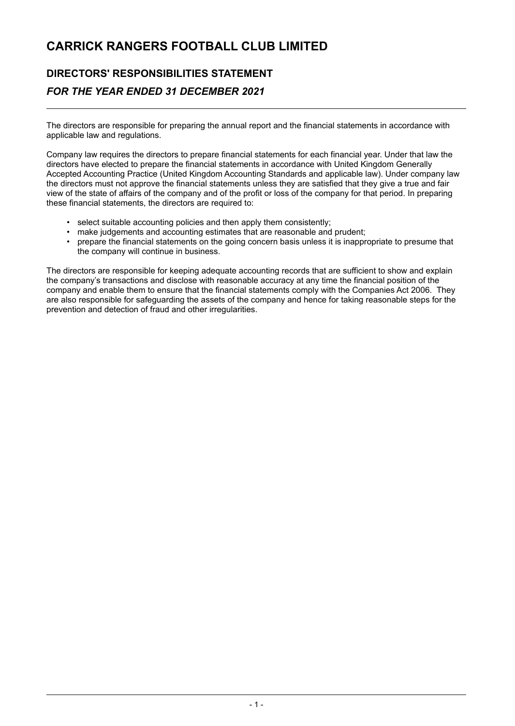### **DIRECTORS' RESPONSIBILITIES STATEMENT** *FOR THE YEAR ENDED 31 DECEMBER 2021*

The directors are responsible for preparing the annual report and the financial statements in accordance with applicable law and regulations.

Company law requires the directors to prepare financial statements for each financial year. Under that law the directors have elected to prepare the financial statements in accordance with United Kingdom Generally Accepted Accounting Practice (United Kingdom Accounting Standards and applicable law). Under company law the directors must not approve the financial statements unless they are satisfied that they give a true and fair view of the state of affairs of the company and of the profit or loss of the company for that period. In preparing these financial statements, the directors are required to:

- select suitable accounting policies and then apply them consistently;
- make judgements and accounting estimates that are reasonable and prudent;
- prepare the financial statements on the going concern basis unless it is inappropriate to presume that the company will continue in business.

The directors are responsible for keeping adequate accounting records that are sufficient to show and explain the company's transactions and disclose with reasonable accuracy at any time the financial position of the company and enable them to ensure that the financial statements comply with the Companies Act 2006. They are also responsible for safeguarding the assets of the company and hence for taking reasonable steps for the prevention and detection of fraud and other irregularities.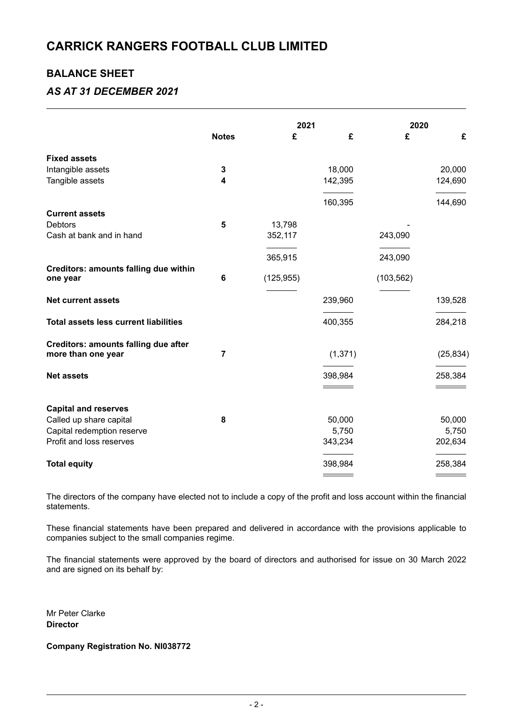### **BALANCE SHEET**

### *AS AT 31 DECEMBER 2021*

|                                              |                |            | 2021     |            | 2020      |  |
|----------------------------------------------|----------------|------------|----------|------------|-----------|--|
|                                              | <b>Notes</b>   | £          | £        | £          | £         |  |
| <b>Fixed assets</b>                          |                |            |          |            |           |  |
| Intangible assets                            | 3              |            | 18,000   |            | 20,000    |  |
| Tangible assets                              | 4              |            | 142,395  |            | 124,690   |  |
|                                              |                |            | 160,395  |            | 144,690   |  |
| <b>Current assets</b>                        |                |            |          |            |           |  |
| <b>Debtors</b>                               | 5              | 13,798     |          |            |           |  |
| Cash at bank and in hand                     |                | 352,117    |          | 243,090    |           |  |
|                                              |                | 365,915    |          | 243,090    |           |  |
| <b>Creditors: amounts falling due within</b> |                |            |          |            |           |  |
| one year                                     | 6              | (125, 955) |          | (103, 562) |           |  |
| <b>Net current assets</b>                    |                |            | 239,960  |            | 139,528   |  |
| <b>Total assets less current liabilities</b> |                |            | 400,355  |            | 284,218   |  |
| <b>Creditors: amounts falling due after</b>  |                |            |          |            |           |  |
| more than one year                           | $\overline{7}$ |            | (1, 371) |            | (25, 834) |  |
| <b>Net assets</b>                            |                |            | 398,984  |            | 258,384   |  |
|                                              |                |            |          |            |           |  |
| <b>Capital and reserves</b>                  |                |            |          |            |           |  |
| Called up share capital                      | 8              |            | 50,000   |            | 50,000    |  |
| Capital redemption reserve                   |                |            | 5,750    |            | 5,750     |  |
| Profit and loss reserves                     |                |            | 343,234  |            | 202,634   |  |
| <b>Total equity</b>                          |                |            | 398,984  |            | 258,384   |  |
|                                              |                |            |          |            |           |  |

The directors of the company have elected not to include a copy of the profit and loss account within the financial statements.

These financial statements have been prepared and delivered in accordance with the provisions applicable to companies subject to the small companies regime.

The financial statements were approved by the board of directors and authorised for issue on 30 March 2022 and are signed on its behalf by:

Mr Peter Clarke **Director**

**Company Registration No. NI038772**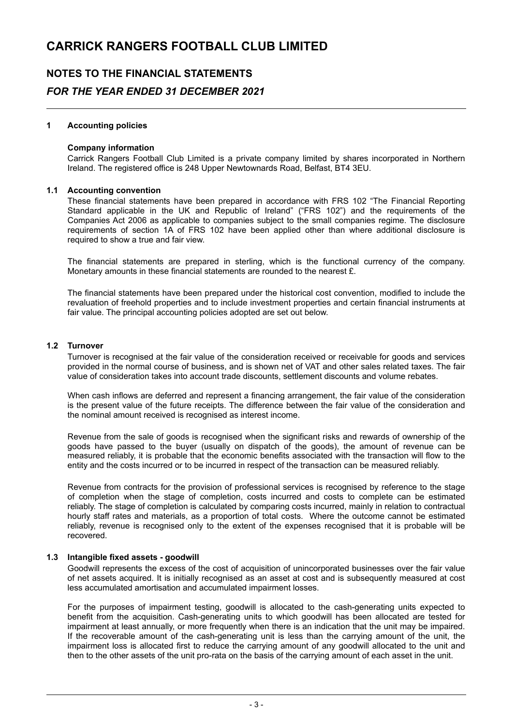### **NOTES TO THE FINANCIAL STATEMENTS** *FOR THE YEAR ENDED 31 DECEMBER 2021*

#### **1 Accounting policies**

#### **Company information**

Carrick Rangers Football Club Limited is a private company limited by shares incorporated in Northern Ireland. The registered office is 248 Upper Newtownards Road, Belfast, BT4 3EU.

#### **1.1 Accounting convention**

These financial statements have been prepared in accordance with FRS 102 "The Financial Reporting Standard applicable in the UK and Republic of Ireland" ("FRS 102") and the requirements of the Companies Act 2006 as applicable to companies subject to the small companies regime. The disclosure requirements of section 1A of FRS 102 have been applied other than where additional disclosure is required to show a true and fair view.

The financial statements are prepared in sterling, which is the functional currency of the company. Monetary amounts in these financial statements are rounded to the nearest £.

The financial statements have been prepared under the historical cost convention, modified to include the revaluation of freehold properties and to include investment properties and certain financial instruments at fair value. The principal accounting policies adopted are set out below.

#### **1.2 Turnover**

Turnover is recognised at the fair value of the consideration received or receivable for goods and services provided in the normal course of business, and is shown net of VAT and other sales related taxes. The fair value of consideration takes into account trade discounts, settlement discounts and volume rebates.

When cash inflows are deferred and represent a financing arrangement, the fair value of the consideration is the present value of the future receipts. The difference between the fair value of the consideration and the nominal amount received is recognised as interest income.

Revenue from the sale of goods is recognised when the significant risks and rewards of ownership of the goods have passed to the buyer (usually on dispatch of the goods), the amount of revenue can be measured reliably, it is probable that the economic benefits associated with the transaction will flow to the entity and the costs incurred or to be incurred in respect of the transaction can be measured reliably.

Revenue from contracts for the provision of professional services is recognised by reference to the stage of completion when the stage of completion, costs incurred and costs to complete can be estimated reliably. The stage of completion is calculated by comparing costs incurred, mainly in relation to contractual hourly staff rates and materials, as a proportion of total costs. Where the outcome cannot be estimated reliably, revenue is recognised only to the extent of the expenses recognised that it is probable will be recovered.

#### **1.3 Intangible fixed assets - goodwill**

Goodwill represents the excess of the cost of acquisition of unincorporated businesses over the fair value of net assets acquired. It is initially recognised as an asset at cost and is subsequently measured at cost less accumulated amortisation and accumulated impairment losses.

For the purposes of impairment testing, goodwill is allocated to the cash-generating units expected to benefit from the acquisition. Cash-generating units to which goodwill has been allocated are tested for impairment at least annually, or more frequently when there is an indication that the unit may be impaired. If the recoverable amount of the cash-generating unit is less than the carrying amount of the unit, the impairment loss is allocated first to reduce the carrying amount of any goodwill allocated to the unit and then to the other assets of the unit pro-rata on the basis of the carrying amount of each asset in the unit.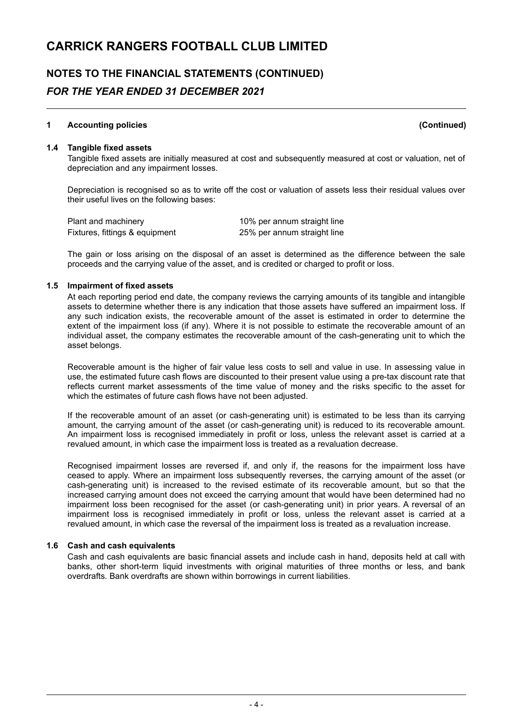### **NOTES TO THE FINANCIAL STATEMENTS (CONTINUED)** *FOR THE YEAR ENDED 31 DECEMBER 2021*

#### **1 Accounting policies (Continued)**

### **1.4 Tangible fixed assets**

Tangible fixed assets are initially measured at cost and subsequently measured at cost or valuation, net of depreciation and any impairment losses.

Depreciation is recognised so as to write off the cost or valuation of assets less their residual values over their useful lives on the following bases:

Plant and machinery 10% per annum straight line Fixtures, fittings & equipment 25% per annum straight line

The gain or loss arising on the disposal of an asset is determined as the difference between the sale proceeds and the carrying value of the asset, and is credited or charged to profit or loss.

#### **1.5 Impairment of fixed assets**

At each reporting period end date, the company reviews the carrying amounts of its tangible and intangible assets to determine whether there is any indication that those assets have suffered an impairment loss. If any such indication exists, the recoverable amount of the asset is estimated in order to determine the extent of the impairment loss (if any). Where it is not possible to estimate the recoverable amount of an individual asset, the company estimates the recoverable amount of the cash-generating unit to which the asset belongs.

Recoverable amount is the higher of fair value less costs to sell and value in use. In assessing value in use, the estimated future cash flows are discounted to their present value using a pre-tax discount rate that reflects current market assessments of the time value of money and the risks specific to the asset for which the estimates of future cash flows have not been adjusted.

If the recoverable amount of an asset (or cash-generating unit) is estimated to be less than its carrying amount, the carrying amount of the asset (or cash-generating unit) is reduced to its recoverable amount. An impairment loss is recognised immediately in profit or loss, unless the relevant asset is carried at a revalued amount, in which case the impairment loss is treated as a revaluation decrease.

Recognised impairment losses are reversed if, and only if, the reasons for the impairment loss have ceased to apply. Where an impairment loss subsequently reverses, the carrying amount of the asset (or cash-generating unit) is increased to the revised estimate of its recoverable amount, but so that the increased carrying amount does not exceed the carrying amount that would have been determined had no impairment loss been recognised for the asset (or cash-generating unit) in prior years. A reversal of an impairment loss is recognised immediately in profit or loss, unless the relevant asset is carried at a revalued amount, in which case the reversal of the impairment loss is treated as a revaluation increase.

#### **1.6 Cash and cash equivalents**

Cash and cash equivalents are basic financial assets and include cash in hand, deposits held at call with banks, other short-term liquid investments with original maturities of three months or less, and bank overdrafts. Bank overdrafts are shown within borrowings in current liabilities.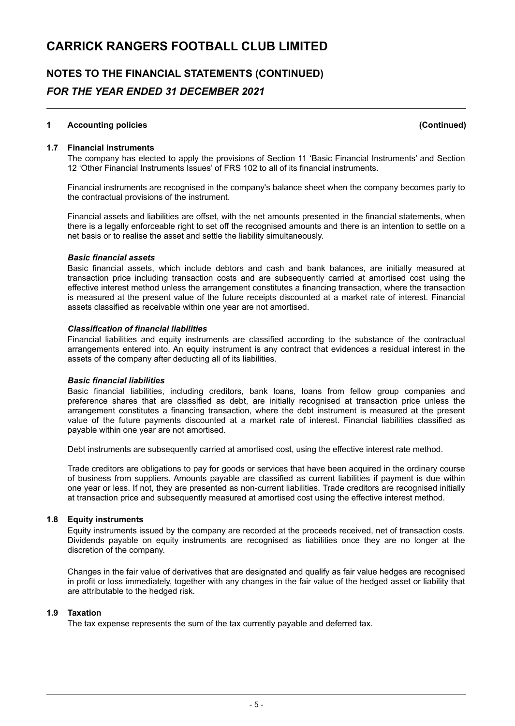### **NOTES TO THE FINANCIAL STATEMENTS (CONTINUED)** *FOR THE YEAR ENDED 31 DECEMBER 2021*

#### **1 Accounting policies (Continued)**

#### **1.7 Financial instruments**

The company has elected to apply the provisions of Section 11 'Basic Financial Instruments' and Section 12 'Other Financial Instruments Issues' of FRS 102 to all of its financial instruments.

Financial instruments are recognised in the company's balance sheet when the company becomes party to the contractual provisions of the instrument.

Financial assets and liabilities are offset, with the net amounts presented in the financial statements, when there is a legally enforceable right to set off the recognised amounts and there is an intention to settle on a net basis or to realise the asset and settle the liability simultaneously.

#### *Basic financial assets*

Basic financial assets, which include debtors and cash and bank balances, are initially measured at transaction price including transaction costs and are subsequently carried at amortised cost using the effective interest method unless the arrangement constitutes a financing transaction, where the transaction is measured at the present value of the future receipts discounted at a market rate of interest. Financial assets classified as receivable within one year are not amortised.

#### *Classification of financial liabilities*

Financial liabilities and equity instruments are classified according to the substance of the contractual arrangements entered into. An equity instrument is any contract that evidences a residual interest in the assets of the company after deducting all of its liabilities.

#### *Basic financial liabilities*

Basic financial liabilities, including creditors, bank loans, loans from fellow group companies and preference shares that are classified as debt, are initially recognised at transaction price unless the arrangement constitutes a financing transaction, where the debt instrument is measured at the present value of the future payments discounted at a market rate of interest. Financial liabilities classified as payable within one year are not amortised.

Debt instruments are subsequently carried at amortised cost, using the effective interest rate method.

Trade creditors are obligations to pay for goods or services that have been acquired in the ordinary course of business from suppliers. Amounts payable are classified as current liabilities if payment is due within one year or less. If not, they are presented as non-current liabilities. Trade creditors are recognised initially at transaction price and subsequently measured at amortised cost using the effective interest method.

#### **1.8 Equity instruments**

Equity instruments issued by the company are recorded at the proceeds received, net of transaction costs. Dividends payable on equity instruments are recognised as liabilities once they are no longer at the discretion of the company.

Changes in the fair value of derivatives that are designated and qualify as fair value hedges are recognised in profit or loss immediately, together with any changes in the fair value of the hedged asset or liability that are attributable to the hedged risk.

#### **1.9 Taxation**

The tax expense represents the sum of the tax currently payable and deferred tax.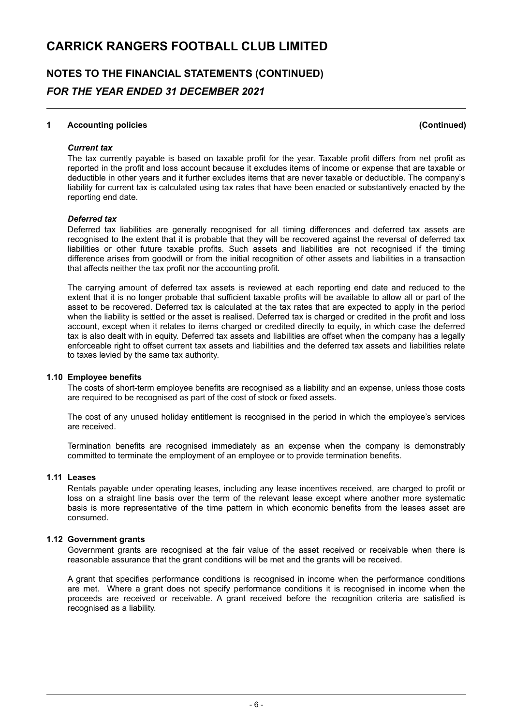### **NOTES TO THE FINANCIAL STATEMENTS (CONTINUED)** *FOR THE YEAR ENDED 31 DECEMBER 2021*

#### **1 Accounting policies (Continued)**

#### *Current tax*

The tax currently payable is based on taxable profit for the year. Taxable profit differs from net profit as reported in the profit and loss account because it excludes items of income or expense that are taxable or deductible in other years and it further excludes items that are never taxable or deductible. The company's liability for current tax is calculated using tax rates that have been enacted or substantively enacted by the reporting end date.

#### *Deferred tax*

Deferred tax liabilities are generally recognised for all timing differences and deferred tax assets are recognised to the extent that it is probable that they will be recovered against the reversal of deferred tax liabilities or other future taxable profits. Such assets and liabilities are not recognised if the timing difference arises from goodwill or from the initial recognition of other assets and liabilities in a transaction that affects neither the tax profit nor the accounting profit.

The carrying amount of deferred tax assets is reviewed at each reporting end date and reduced to the extent that it is no longer probable that sufficient taxable profits will be available to allow all or part of the asset to be recovered. Deferred tax is calculated at the tax rates that are expected to apply in the period when the liability is settled or the asset is realised. Deferred tax is charged or credited in the profit and loss account, except when it relates to items charged or credited directly to equity, in which case the deferred tax is also dealt with in equity. Deferred tax assets and liabilities are offset when the company has a legally enforceable right to offset current tax assets and liabilities and the deferred tax assets and liabilities relate to taxes levied by the same tax authority.

#### **1.10 Employee benefits**

The costs of short-term employee benefits are recognised as a liability and an expense, unless those costs are required to be recognised as part of the cost of stock or fixed assets.

The cost of any unused holiday entitlement is recognised in the period in which the employee's services are received.

Termination benefits are recognised immediately as an expense when the company is demonstrably committed to terminate the employment of an employee or to provide termination benefits.

#### **1.11 Leases**

Rentals payable under operating leases, including any lease incentives received, are charged to profit or loss on a straight line basis over the term of the relevant lease except where another more systematic basis is more representative of the time pattern in which economic benefits from the leases asset are consumed.

#### **1.12 Government grants**

Government grants are recognised at the fair value of the asset received or receivable when there is reasonable assurance that the grant conditions will be met and the grants will be received.

A grant that specifies performance conditions is recognised in income when the performance conditions are met. Where a grant does not specify performance conditions it is recognised in income when the proceeds are received or receivable. A grant received before the recognition criteria are satisfied is recognised as a liability.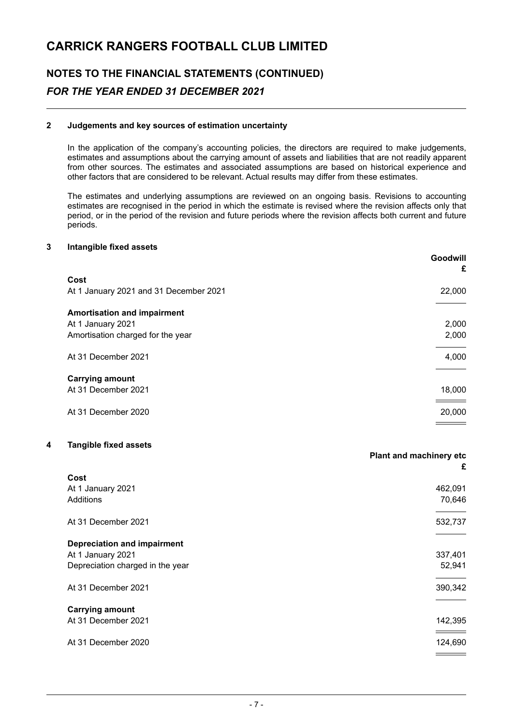### **NOTES TO THE FINANCIAL STATEMENTS (CONTINUED)** *FOR THE YEAR ENDED 31 DECEMBER 2021*

#### **2 Judgements and key sources of estimation uncertainty**

In the application of the company's accounting policies, the directors are required to make judgements, estimates and assumptions about the carrying amount of assets and liabilities that are not readily apparent from other sources. The estimates and associated assumptions are based on historical experience and other factors that are considered to be relevant. Actual results may differ from these estimates.

The estimates and underlying assumptions are reviewed on an ongoing basis. Revisions to accounting estimates are recognised in the period in which the estimate is revised where the revision affects only that period, or in the period of the revision and future periods where the revision affects both current and future periods.

#### **3 Intangible fixed assets**

|                                        | Goodwill<br>£ |
|----------------------------------------|---------------|
| Cost                                   |               |
| At 1 January 2021 and 31 December 2021 | 22,000        |
| <b>Amortisation and impairment</b>     |               |
| At 1 January 2021                      | 2,000         |
| Amortisation charged for the year      | 2,000         |
| At 31 December 2021                    | 4,000         |
| <b>Carrying amount</b>                 |               |
| At 31 December 2021                    | 18,000        |
| At 31 December 2020                    | 20,000        |

#### **4 Tangible fixed assets**

|                                    | <b>Plant and machinery etc</b> |
|------------------------------------|--------------------------------|
|                                    | £                              |
| Cost                               |                                |
| At 1 January 2021                  | 462,091                        |
| Additions                          | 70,646                         |
| At 31 December 2021                | 532,737                        |
| <b>Depreciation and impairment</b> |                                |
| At 1 January 2021                  | 337,401                        |
| Depreciation charged in the year   | 52,941                         |
| At 31 December 2021                | 390,342                        |
| <b>Carrying amount</b>             |                                |
| At 31 December 2021                | 142,395                        |
| At 31 December 2020                | 124,690                        |
|                                    |                                |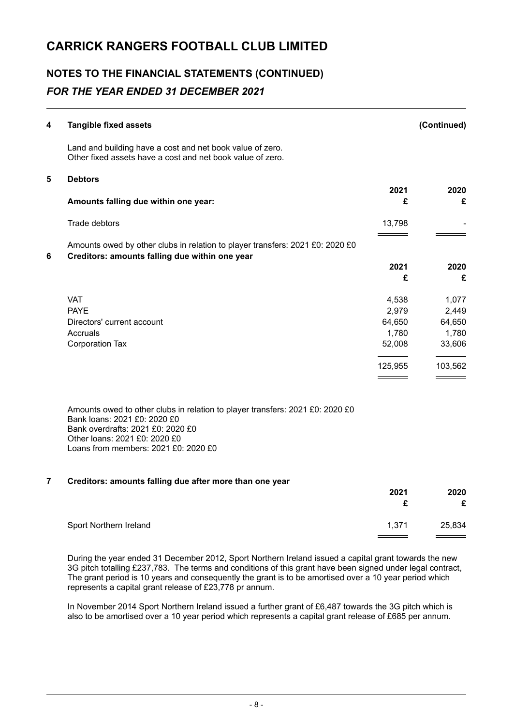### **NOTES TO THE FINANCIAL STATEMENTS (CONTINUED)** *FOR THE YEAR ENDED 31 DECEMBER 2021*

| 4 | <b>Tangible fixed assets</b>                                                                                                                                                                                                |           | (Continued) |
|---|-----------------------------------------------------------------------------------------------------------------------------------------------------------------------------------------------------------------------------|-----------|-------------|
|   | Land and building have a cost and net book value of zero.<br>Other fixed assets have a cost and net book value of zero.                                                                                                     |           |             |
| 5 | <b>Debtors</b>                                                                                                                                                                                                              |           |             |
|   | Amounts falling due within one year:                                                                                                                                                                                        | 2021<br>£ | 2020<br>£   |
|   | Trade debtors                                                                                                                                                                                                               | 13,798    |             |
| 6 | Amounts owed by other clubs in relation to player transfers: 2021 £0: 2020 £0<br>Creditors: amounts falling due within one year                                                                                             |           |             |
|   |                                                                                                                                                                                                                             | 2021      | 2020        |
|   |                                                                                                                                                                                                                             | £         | £           |
|   | <b>VAT</b>                                                                                                                                                                                                                  | 4,538     | 1,077       |
|   | <b>PAYE</b>                                                                                                                                                                                                                 | 2,979     | 2,449       |
|   | Directors' current account                                                                                                                                                                                                  | 64,650    | 64,650      |
|   | Accruals                                                                                                                                                                                                                    | 1,780     | 1,780       |
|   | <b>Corporation Tax</b>                                                                                                                                                                                                      | 52,008    | 33,606      |
|   |                                                                                                                                                                                                                             | 125,955   | 103,562     |
|   |                                                                                                                                                                                                                             |           |             |
|   | Amounts owed to other clubs in relation to player transfers: 2021 £0: 2020 £0<br>Bank loans: 2021 £0: 2020 £0<br>Bank overdrafts: 2021 £0: 2020 £0<br>Other loans: 2021 £0: 2020 £0<br>Loans from members: 2021 £0: 2020 £0 |           |             |

### **7 Creditors: amounts falling due after more than one year**

|                        | 2021                                           | 2020<br>£       |
|------------------------|------------------------------------------------|-----------------|
| Sport Northern Ireland | 1,371<br>and the control of the control of the | 25,834<br>_____ |

During the year ended 31 December 2012, Sport Northern Ireland issued a capital grant towards the new 3G pitch totalling £237,783. The terms and conditions of this grant have been signed under legal contract, The grant period is 10 years and consequently the grant is to be amortised over a 10 year period which represents a capital grant release of £23,778 pr annum.

In November 2014 Sport Northern Ireland issued a further grant of £6,487 towards the 3G pitch which is also to be amortised over a 10 year period which represents a capital grant release of £685 per annum.